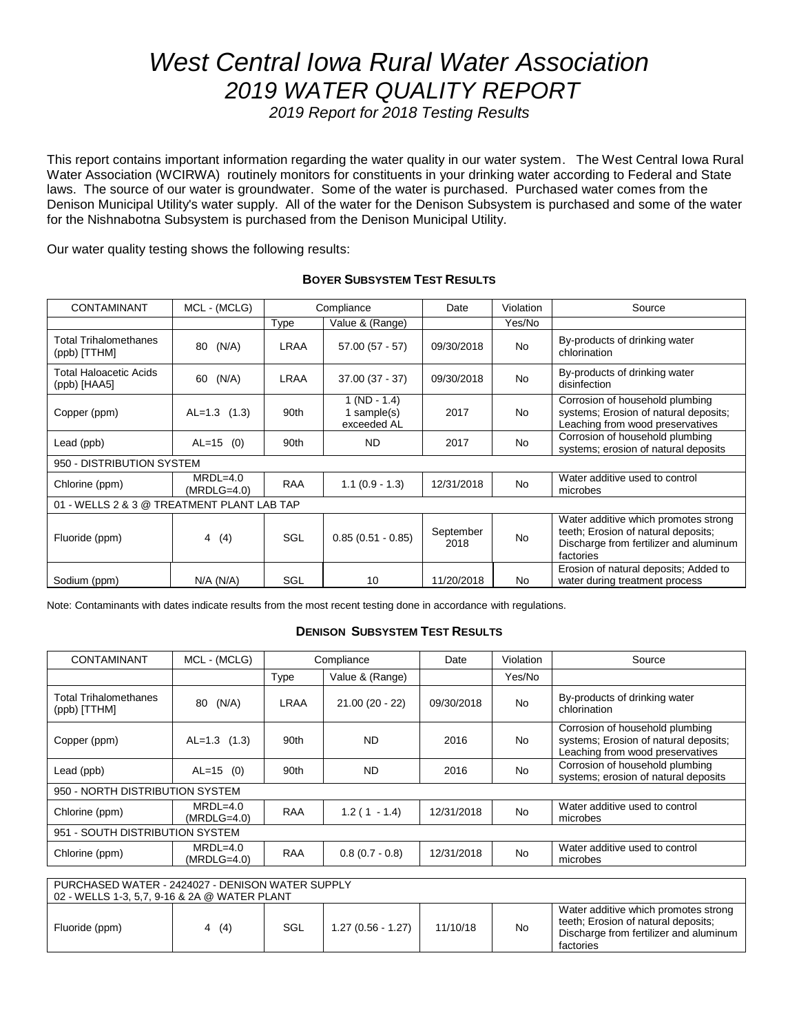# *West Central Iowa Rural Water Association 2019 WATER QUALITY REPORT*

*2019 Report for 2018 Testing Results*

This report contains important information regarding the water quality in our water system. The West Central Iowa Rural Water Association (WCIRWA) routinely monitors for constituents in your drinking water according to Federal and State laws. The source of our water is groundwater. Some of the water is purchased. Purchased water comes from the Denison Municipal Utility's water supply. All of the water for the Denison Subsystem is purchased and some of the water for the Nishnabotna Subsystem is purchased from the Denison Municipal Utility.

Our water quality testing shows the following results:

| <b>CONTAMINANT</b>                            | MCL - (MCLG)                |            | Compliance                                      | Date              | Violation | Source                                                                                                                             |
|-----------------------------------------------|-----------------------------|------------|-------------------------------------------------|-------------------|-----------|------------------------------------------------------------------------------------------------------------------------------------|
|                                               |                             | Type       | Value & (Range)                                 |                   | Yes/No    |                                                                                                                                    |
| <b>Total Trihalomethanes</b><br>(ppb) [TTHM]  | (N/A)<br>80                 | LRAA       | $57.00(57 - 57)$                                | 09/30/2018        | <b>No</b> | By-products of drinking water<br>chlorination                                                                                      |
| <b>Total Haloacetic Acids</b><br>(ppb) [HAA5] | (N/A)<br>60                 | LRAA       | $37.00(37 - 37)$                                | 09/30/2018        | <b>No</b> | By-products of drinking water<br>disinfection                                                                                      |
| Copper (ppm)                                  | $AL=1.3$ (1.3)              | 90th       | $1 (ND - 1.4)$<br>1 sample $(s)$<br>exceeded AL | 2017              | <b>No</b> | Corrosion of household plumbing<br>systems; Erosion of natural deposits;<br>Leaching from wood preservatives                       |
| Lead (ppb)                                    | $AL=15$ (0)                 | 90th       | ND.                                             | 2017              | <b>No</b> | Corrosion of household plumbing<br>systems; erosion of natural deposits                                                            |
| 950 - DISTRIBUTION SYSTEM                     |                             |            |                                                 |                   |           |                                                                                                                                    |
| Chlorine (ppm)                                | $MRDL=4.0$<br>$(MRDLG=4.0)$ | <b>RAA</b> | $1.1(0.9 - 1.3)$                                | 12/31/2018        | <b>No</b> | Water additive used to control<br>microbes                                                                                         |
| 01 - WELLS 2 & 3 @ TREATMENT PLANT LAB TAP    |                             |            |                                                 |                   |           |                                                                                                                                    |
| Fluoride (ppm)                                | (4)<br>4                    | SGL        | $0.85(0.51 - 0.85)$                             | September<br>2018 | <b>No</b> | Water additive which promotes strong<br>teeth; Erosion of natural deposits;<br>Discharge from fertilizer and aluminum<br>factories |
| Sodium (ppm)                                  | $N/A$ ( $N/A$ )             | SGL        | 10                                              | 11/20/2018        | No        | Erosion of natural deposits; Added to<br>water during treatment process                                                            |

#### **BOYER SUBSYSTEM TEST RESULTS**

Note: Contaminants with dates indicate results from the most recent testing done in accordance with regulations.

## **DENISON SUBSYSTEM TEST RESULTS**

| <b>CONTAMINANT</b>                               | MCL - (MCLG)                | Compliance |                  | Date       | Violation | Source                                                                                                       |
|--------------------------------------------------|-----------------------------|------------|------------------|------------|-----------|--------------------------------------------------------------------------------------------------------------|
|                                                  |                             | Type       | Value & (Range)  |            | Yes/No    |                                                                                                              |
| <b>Total Trihalomethanes</b><br>(ppb) [TTHM]     | (N/A)<br>80                 | LRAA       | $21.00(20 - 22)$ | 09/30/2018 | <b>No</b> | By-products of drinking water<br>chlorination                                                                |
| Copper (ppm)                                     | $AL=1.3$ (1.3)              | 90th       | <b>ND</b>        | 2016       | <b>No</b> | Corrosion of household plumbing<br>systems; Erosion of natural deposits;<br>Leaching from wood preservatives |
| Lead (ppb)                                       | $AL=15$ (0)                 | 90th       | <b>ND</b>        | 2016       | <b>No</b> | Corrosion of household plumbing<br>systems; erosion of natural deposits                                      |
| 950 - NORTH DISTRIBUTION SYSTEM                  |                             |            |                  |            |           |                                                                                                              |
| Chlorine (ppm)                                   | $MRDL=4.0$<br>$(MRDLG=4.0)$ | <b>RAA</b> | $1.2(1 - 1.4)$   | 12/31/2018 | <b>No</b> | Water additive used to control<br>microbes                                                                   |
| 951 - SOUTH DISTRIBUTION SYSTEM                  |                             |            |                  |            |           |                                                                                                              |
| Chlorine (ppm)                                   | $MRDL=4.0$<br>$(MRDLG=4.0)$ | <b>RAA</b> | $0.8(0.7 - 0.8)$ | 12/31/2018 | <b>No</b> | Water additive used to control<br>microbes                                                                   |
| PURCHASED WATER - 2424027 - DENISON WATER SUPPLY |                             |            |                  |            |           |                                                                                                              |

| <u>UNULMULD WATLIN "ZHZHUZI" DLINIUUN WATLIN UULT LI</u><br>02 - WELLS 1-3, 5,7, 9-16 & 2A @ WATER PLANT |          |     |                     |          |    |                                                                                                                                    |
|----------------------------------------------------------------------------------------------------------|----------|-----|---------------------|----------|----|------------------------------------------------------------------------------------------------------------------------------------|
| Fluoride (ppm)                                                                                           | (4)<br>4 | SGL | $1.27(0.56 - 1.27)$ | 11/10/18 | No | Water additive which promotes strong<br>teeth; Erosion of natural deposits;<br>Discharge from fertilizer and aluminum<br>factories |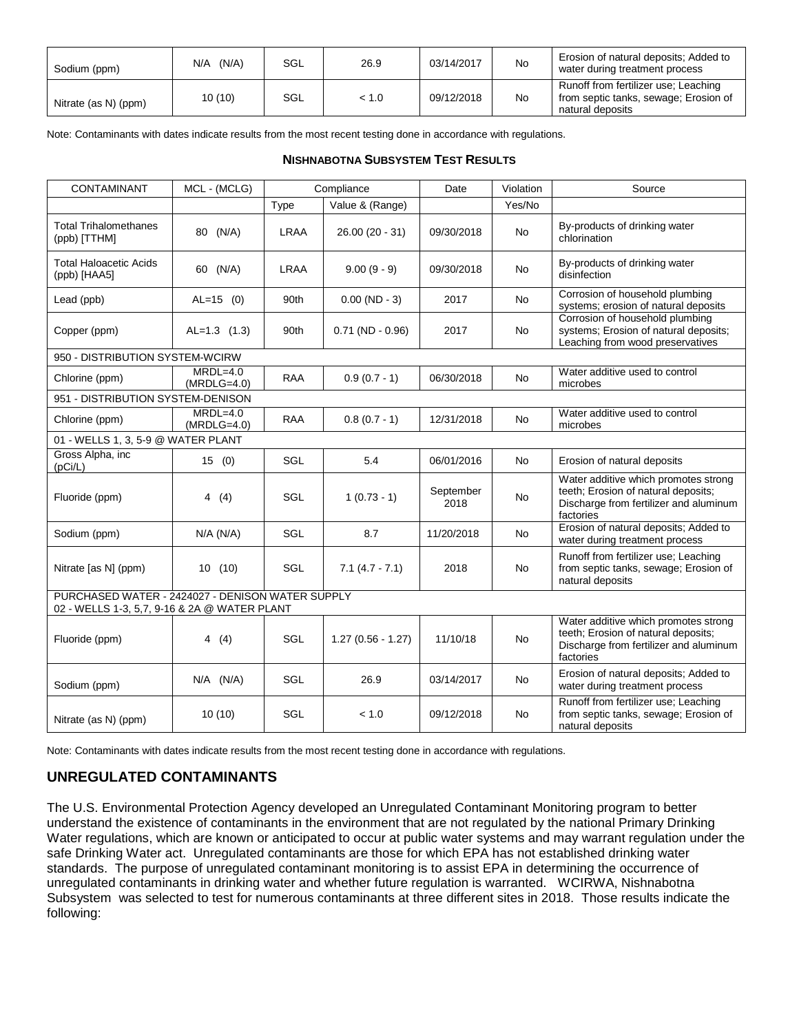| Sodium (ppm)         | (N/A)<br>N/A | SGL | 26.9  | 03/14/2017 | <b>No</b> | Erosion of natural deposits; Added to<br>water during treatment process                           |
|----------------------|--------------|-----|-------|------------|-----------|---------------------------------------------------------------------------------------------------|
| Nitrate (as N) (ppm) | 10(10)       | SGL | < 1.0 | 09/12/2018 | No        | Runoff from fertilizer use; Leaching<br>from septic tanks, sewage; Erosion of<br>natural deposits |

Note: Contaminants with dates indicate results from the most recent testing done in accordance with regulations.

#### **NISHNABOTNA SUBSYSTEM TEST RESULTS**

| CONTAMINANT                                                                                      | MCL - (MCLG)                |             | Compliance          | Date              | Violation | Source                                                                                                                             |
|--------------------------------------------------------------------------------------------------|-----------------------------|-------------|---------------------|-------------------|-----------|------------------------------------------------------------------------------------------------------------------------------------|
|                                                                                                  |                             | Type        | Value & (Range)     |                   | Yes/No    |                                                                                                                                    |
| <b>Total Trihalomethanes</b><br>(ppb) [TTHM]                                                     | 80 (N/A)                    | <b>LRAA</b> | 26.00 (20 - 31)     | 09/30/2018        | <b>No</b> | By-products of drinking water<br>chlorination                                                                                      |
| <b>Total Haloacetic Acids</b><br>(ppb) [HAA5]                                                    | 60 (N/A)                    | LRAA        | $9.00(9 - 9)$       | 09/30/2018        | <b>No</b> | By-products of drinking water<br>disinfection                                                                                      |
| Lead (ppb)                                                                                       | $AL=15$ (0)                 | 90th        | $0.00$ (ND - 3)     | 2017              | <b>No</b> | Corrosion of household plumbing<br>systems; erosion of natural deposits                                                            |
| Copper (ppm)                                                                                     | $AL=1.3$ (1.3)              | 90th        | $0.71$ (ND - 0.96)  | 2017              | <b>No</b> | Corrosion of household plumbing<br>systems; Erosion of natural deposits;<br>Leaching from wood preservatives                       |
| 950 - DISTRIBUTION SYSTEM-WCIRW                                                                  |                             |             |                     |                   |           |                                                                                                                                    |
| Chlorine (ppm)                                                                                   | $MRDL=4.0$<br>$(MRDLG=4.0)$ | <b>RAA</b>  | $0.9(0.7 - 1)$      | 06/30/2018        | <b>No</b> | Water additive used to control<br>microbes                                                                                         |
| 951 - DISTRIBUTION SYSTEM-DENISON                                                                |                             |             |                     |                   |           |                                                                                                                                    |
| Chlorine (ppm)                                                                                   | $MRDL=4.0$<br>$(MRDLG=4.0)$ | <b>RAA</b>  | $0.8(0.7 - 1)$      | 12/31/2018        | <b>No</b> | Water additive used to control<br>microbes                                                                                         |
| 01 - WELLS 1, 3, 5-9 @ WATER PLANT                                                               |                             |             |                     |                   |           |                                                                                                                                    |
| Gross Alpha, inc<br>(pCi/L)                                                                      | 15(0)                       | SGL         | 5.4                 | 06/01/2016        | <b>No</b> | Erosion of natural deposits                                                                                                        |
| Fluoride (ppm)                                                                                   | 4(4)                        | SGL         | $1(0.73 - 1)$       | September<br>2018 | <b>No</b> | Water additive which promotes strong<br>teeth; Erosion of natural deposits;<br>Discharge from fertilizer and aluminum<br>factories |
| Sodium (ppm)                                                                                     | N/A (N/A)                   | SGL         | 8.7                 | 11/20/2018        | <b>No</b> | Erosion of natural deposits; Added to<br>water during treatment process                                                            |
| Nitrate [as N] (ppm)                                                                             | 10(10)                      | SGL         | $7.1(4.7 - 7.1)$    | 2018              | <b>No</b> | Runoff from fertilizer use; Leaching<br>from septic tanks, sewage; Erosion of<br>natural deposits                                  |
| PURCHASED WATER - 2424027 - DENISON WATER SUPPLY<br>02 - WELLS 1-3, 5,7, 9-16 & 2A @ WATER PLANT |                             |             |                     |                   |           |                                                                                                                                    |
| Fluoride (ppm)                                                                                   | 4(4)                        | SGL         | $1.27(0.56 - 1.27)$ | 11/10/18          | <b>No</b> | Water additive which promotes strong<br>teeth; Erosion of natural deposits;<br>Discharge from fertilizer and aluminum<br>factories |
| Sodium (ppm)                                                                                     | $N/A$ $(N/A)$               | SGL         | 26.9                | 03/14/2017        | <b>No</b> | Erosion of natural deposits; Added to<br>water during treatment process                                                            |
| Nitrate (as N) (ppm)                                                                             | 10(10)                      | SGL         | < 1.0               | 09/12/2018        | <b>No</b> | Runoff from fertilizer use; Leaching<br>from septic tanks, sewage; Erosion of<br>natural deposits                                  |

Note: Contaminants with dates indicate results from the most recent testing done in accordance with regulations.

## **UNREGULATED CONTAMINANTS**

The U.S. Environmental Protection Agency developed an Unregulated Contaminant Monitoring program to better understand the existence of contaminants in the environment that are not regulated by the national Primary Drinking Water regulations, which are known or anticipated to occur at public water systems and may warrant regulation under the safe Drinking Water act. Unregulated contaminants are those for which EPA has not established drinking water standards. The purpose of unregulated contaminant monitoring is to assist EPA in determining the occurrence of unregulated contaminants in drinking water and whether future regulation is warranted. WCIRWA, Nishnabotna Subsystem was selected to test for numerous contaminants at three different sites in 2018. Those results indicate the following: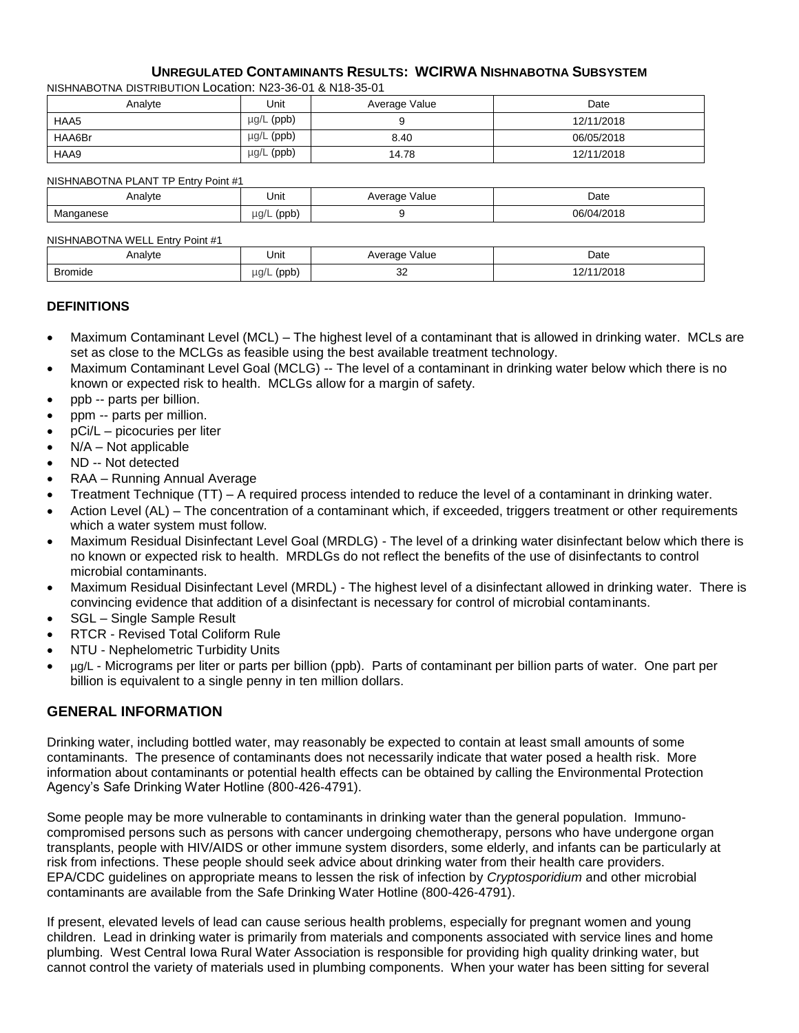#### **UNREGULATED CONTAMINANTS RESULTS: WCIRWA NISHNABOTNA SUBSYSTEM**

NISHNABOTNA DISTRIBUTION Location: N23-36-01 & N18-35-01

| Analvte | Unit            | Average Value | Date       |
|---------|-----------------|---------------|------------|
| HAA5    | $\mu$ g/L (ppb) |               | 12/11/2018 |
| HAA6Br  | $\mu$ g/L (ppb) | 8.40          | 06/05/2018 |
| HAA9    | $\mu$ g/L (ppb) | 14.78         | 12/11/2018 |

NISHNABOTNA PLANT TP Entry Point #1

| Analyte         | Unit                                  | √alue<br>Average<br>. | Date<br>.                         |
|-----------------|---------------------------------------|-----------------------|-----------------------------------|
| naanese<br>vid' | $\mu$ q/L<br>'nnh<br><b>INNN</b><br>◡ |                       | 10040<br>06/0<br>/2018<br>۱Д<br>. |

#### NISHNABOTNA WELL Entry Point #1

| Analyte        | Unit                                                                | Value<br><b>AVerage</b> | Date<br>.                       |
|----------------|---------------------------------------------------------------------|-------------------------|---------------------------------|
| <b>Bromide</b> | $\overline{a}$<br>$\mu$ q/L<br>Inn <sub>k</sub><br><b>INNN</b><br>◡ | $\sim$<br>ےت            | 10010<br>,,,<br>≀∠∪⊺ö<br>$\sim$ |

#### **DEFINITIONS**

- Maximum Contaminant Level (MCL) The highest level of a contaminant that is allowed in drinking water. MCLs are set as close to the MCLGs as feasible using the best available treatment technology.
- Maximum Contaminant Level Goal (MCLG) -- The level of a contaminant in drinking water below which there is no known or expected risk to health. MCLGs allow for a margin of safety.
- ppb -- parts per billion.
- ppm -- parts per million.
- pCi/L picocuries per liter
- N/A Not applicable
- ND -- Not detected
- RAA Running Annual Average
- Treatment Technique (TT) A required process intended to reduce the level of a contaminant in drinking water.
- Action Level (AL) The concentration of a contaminant which, if exceeded, triggers treatment or other requirements which a water system must follow.
- Maximum Residual Disinfectant Level Goal (MRDLG) The level of a drinking water disinfectant below which there is no known or expected risk to health. MRDLGs do not reflect the benefits of the use of disinfectants to control microbial contaminants.
- Maximum Residual Disinfectant Level (MRDL) The highest level of a disinfectant allowed in drinking water. There is convincing evidence that addition of a disinfectant is necessary for control of microbial contaminants.
- SGL Single Sample Result
- RTCR Revised Total Coliform Rule
- NTU Nephelometric Turbidity Units
- µg/L Micrograms per liter or parts per billion (ppb). Parts of contaminant per billion parts of water. One part per billion is equivalent to a single penny in ten million dollars.

### **GENERAL INFORMATION**

Drinking water, including bottled water, may reasonably be expected to contain at least small amounts of some contaminants. The presence of contaminants does not necessarily indicate that water posed a health risk. More information about contaminants or potential health effects can be obtained by calling the Environmental Protection Agency's Safe Drinking Water Hotline (800-426-4791).

Some people may be more vulnerable to contaminants in drinking water than the general population. Immunocompromised persons such as persons with cancer undergoing chemotherapy, persons who have undergone organ transplants, people with HIV/AIDS or other immune system disorders, some elderly, and infants can be particularly at risk from infections. These people should seek advice about drinking water from their health care providers. EPA/CDC guidelines on appropriate means to lessen the risk of infection by *Cryptosporidium* and other microbial contaminants are available from the Safe Drinking Water Hotline (800-426-4791).

If present, elevated levels of lead can cause serious health problems, especially for pregnant women and young children. Lead in drinking water is primarily from materials and components associated with service lines and home plumbing. West Central Iowa Rural Water Association is responsible for providing high quality drinking water, but cannot control the variety of materials used in plumbing components. When your water has been sitting for several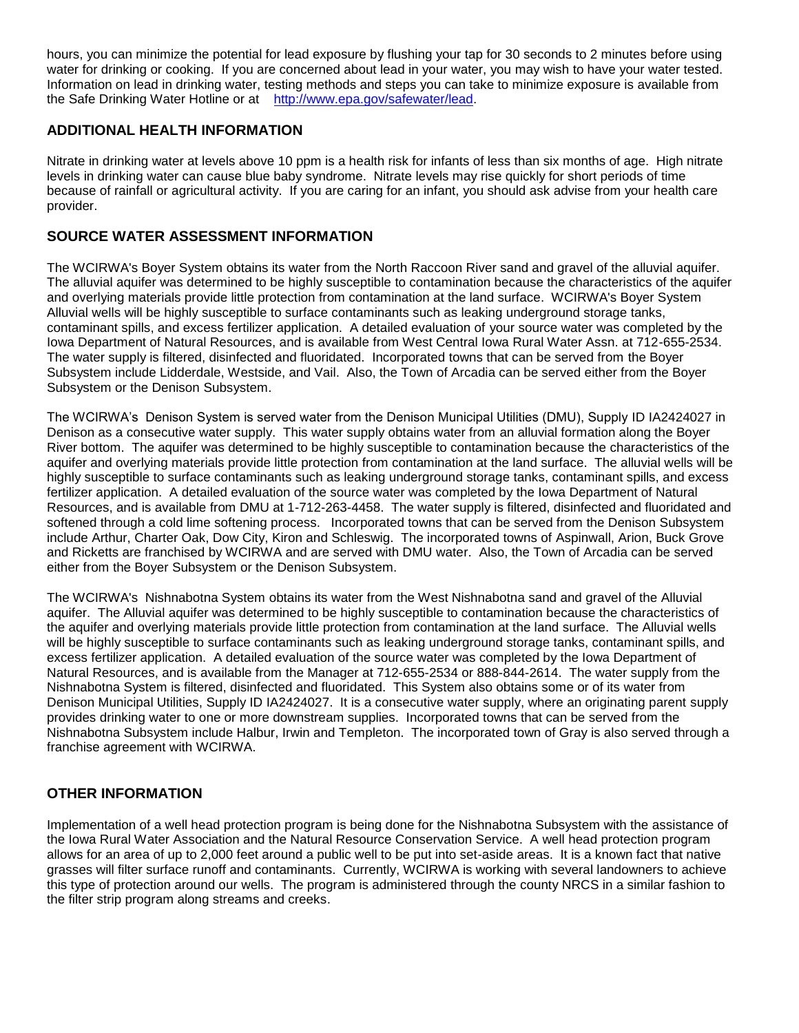hours, you can minimize the potential for lead exposure by flushing your tap for 30 seconds to 2 minutes before using water for drinking or cooking. If you are concerned about lead in your water, you may wish to have your water tested. Information on lead in drinking water, testing methods and steps you can take to minimize exposure is available from the Safe Drinking Water Hotline or at [http://www.epa.gov/safewater/lead.](http://www.epa.gov/safewater/lead)

## **ADDITIONAL HEALTH INFORMATION**

Nitrate in drinking water at levels above 10 ppm is a health risk for infants of less than six months of age. High nitrate levels in drinking water can cause blue baby syndrome. Nitrate levels may rise quickly for short periods of time because of rainfall or agricultural activity. If you are caring for an infant, you should ask advise from your health care provider.

## **SOURCE WATER ASSESSMENT INFORMATION**

The WCIRWA's Boyer System obtains its water from the North Raccoon River sand and gravel of the alluvial aquifer. The alluvial aquifer was determined to be highly susceptible to contamination because the characteristics of the aquifer and overlying materials provide little protection from contamination at the land surface. WCIRWA's Boyer System Alluvial wells will be highly susceptible to surface contaminants such as leaking underground storage tanks, contaminant spills, and excess fertilizer application. A detailed evaluation of your source water was completed by the Iowa Department of Natural Resources, and is available from West Central Iowa Rural Water Assn. at 712-655-2534. The water supply is filtered, disinfected and fluoridated. Incorporated towns that can be served from the Boyer Subsystem include Lidderdale, Westside, and Vail. Also, the Town of Arcadia can be served either from the Boyer Subsystem or the Denison Subsystem.

The WCIRWA's Denison System is served water from the Denison Municipal Utilities (DMU), Supply ID IA2424027 in Denison as a consecutive water supply. This water supply obtains water from an alluvial formation along the Boyer River bottom. The aquifer was determined to be highly susceptible to contamination because the characteristics of the aquifer and overlying materials provide little protection from contamination at the land surface. The alluvial wells will be highly susceptible to surface contaminants such as leaking underground storage tanks, contaminant spills, and excess fertilizer application. A detailed evaluation of the source water was completed by the Iowa Department of Natural Resources, and is available from DMU at 1-712-263-4458. The water supply is filtered, disinfected and fluoridated and softened through a cold lime softening process. Incorporated towns that can be served from the Denison Subsystem include Arthur, Charter Oak, Dow City, Kiron and Schleswig. The incorporated towns of Aspinwall, Arion, Buck Grove and Ricketts are franchised by WCIRWA and are served with DMU water. Also, the Town of Arcadia can be served either from the Boyer Subsystem or the Denison Subsystem.

The WCIRWA's Nishnabotna System obtains its water from the West Nishnabotna sand and gravel of the Alluvial aquifer. The Alluvial aquifer was determined to be highly susceptible to contamination because the characteristics of the aquifer and overlying materials provide little protection from contamination at the land surface. The Alluvial wells will be highly susceptible to surface contaminants such as leaking underground storage tanks, contaminant spills, and excess fertilizer application. A detailed evaluation of the source water was completed by the Iowa Department of Natural Resources, and is available from the Manager at 712-655-2534 or 888-844-2614. The water supply from the Nishnabotna System is filtered, disinfected and fluoridated. This System also obtains some or of its water from Denison Municipal Utilities, Supply ID IA2424027. It is a consecutive water supply, where an originating parent supply provides drinking water to one or more downstream supplies. Incorporated towns that can be served from the Nishnabotna Subsystem include Halbur, Irwin and Templeton. The incorporated town of Gray is also served through a franchise agreement with WCIRWA.

## **OTHER INFORMATION**

Implementation of a well head protection program is being done for the Nishnabotna Subsystem with the assistance of the Iowa Rural Water Association and the Natural Resource Conservation Service. A well head protection program allows for an area of up to 2,000 feet around a public well to be put into set-aside areas. It is a known fact that native grasses will filter surface runoff and contaminants. Currently, WCIRWA is working with several landowners to achieve this type of protection around our wells. The program is administered through the county NRCS in a similar fashion to the filter strip program along streams and creeks.